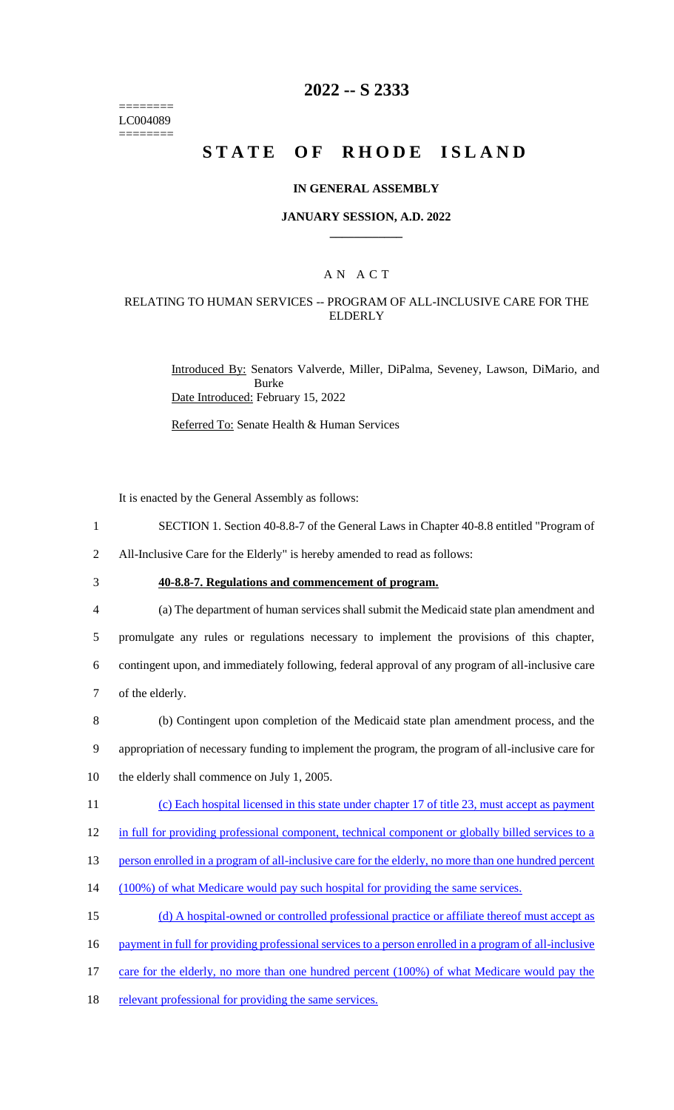======== LC004089 ========

### **2022 -- S 2333**

# **STATE OF RHODE ISLAND**

#### **IN GENERAL ASSEMBLY**

#### **JANUARY SESSION, A.D. 2022 \_\_\_\_\_\_\_\_\_\_\_\_**

### A N A C T

### RELATING TO HUMAN SERVICES -- PROGRAM OF ALL-INCLUSIVE CARE FOR THE ELDERLY

Introduced By: Senators Valverde, Miller, DiPalma, Seveney, Lawson, DiMario, and Burke Date Introduced: February 15, 2022

Referred To: Senate Health & Human Services

It is enacted by the General Assembly as follows:

- 1 SECTION 1. Section 40-8.8-7 of the General Laws in Chapter 40-8.8 entitled "Program of
- 2 All-Inclusive Care for the Elderly" is hereby amended to read as follows:
- 

# 3 **40-8.8-7. Regulations and commencement of program.**

 (a) The department of human services shall submit the Medicaid state plan amendment and promulgate any rules or regulations necessary to implement the provisions of this chapter, contingent upon, and immediately following, federal approval of any program of all-inclusive care of the elderly.

8 (b) Contingent upon completion of the Medicaid state plan amendment process, and the 9 appropriation of necessary funding to implement the program, the program of all-inclusive care for 10 the elderly shall commence on July 1, 2005.

- 11 (c) Each hospital licensed in this state under chapter 17 of title 23, must accept as payment
- 12 in full for providing professional component, technical component or globally billed services to a
- 13 person enrolled in a program of all-inclusive care for the elderly, no more than one hundred percent
- 14 (100%) of what Medicare would pay such hospital for providing the same services.
- 15 (d) A hospital-owned or controlled professional practice or affiliate thereof must accept as
- 16 payment in full for providing professional services to a person enrolled in a program of all-inclusive
- 17 care for the elderly, no more than one hundred percent (100%) of what Medicare would pay the
- 18 relevant professional for providing the same services.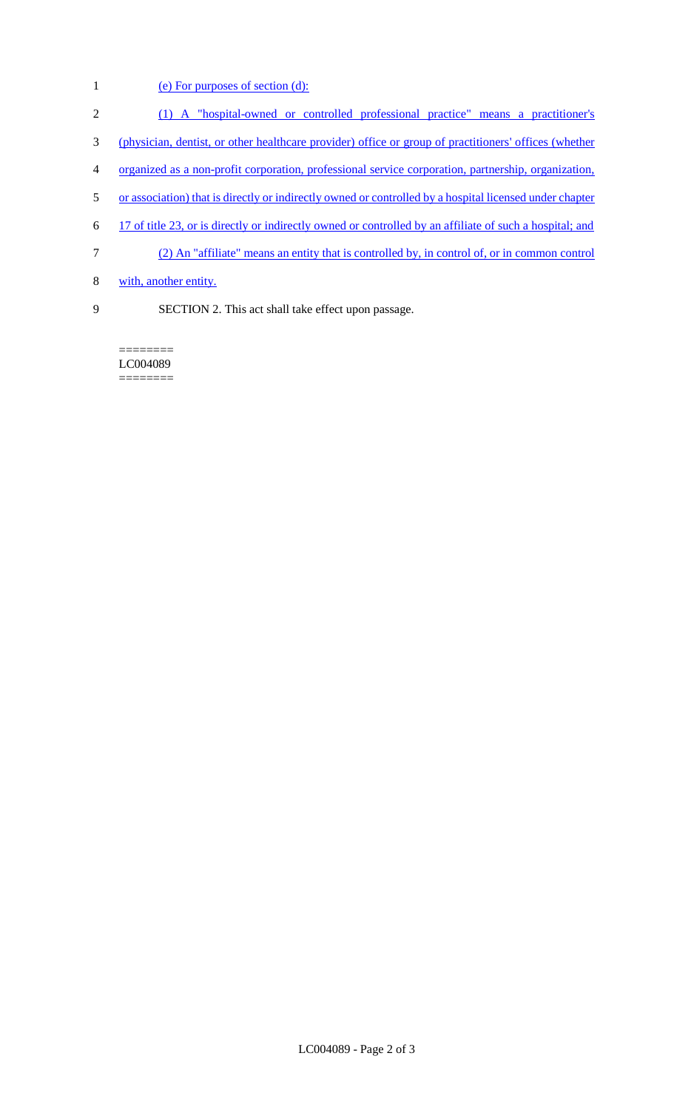- 1 (e) For purposes of section (d):
- 2 (1) A "hospital-owned or controlled professional practice" means a practitioner's
- 3 (physician, dentist, or other healthcare provider) office or group of practitioners' offices (whether
- 4 organized as a non-profit corporation, professional service corporation, partnership, organization,
- 5 or association) that is directly or indirectly owned or controlled by a hospital licensed under chapter
- 6 17 of title 23, or is directly or indirectly owned or controlled by an affiliate of such a hospital; and
- 7 (2) An "affiliate" means an entity that is controlled by, in control of, or in common control
- 8 with, another entity.
- 9 SECTION 2. This act shall take effect upon passage.

======== LC004089 ========